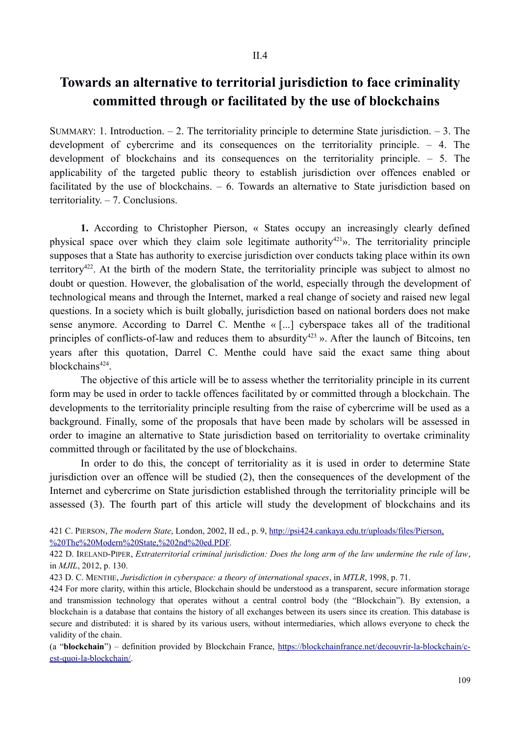## **Towards an alternative to territorial jurisdiction to face criminality committed through or facilitated by the use of blockchains**

SUMMARY: 1. Introduction.  $-2$ . The territoriality principle to determine State jurisdiction.  $-3$ . The development of cybercrime and its consequences on the territoriality principle. – 4. The development of blockchains and its consequences on the territoriality principle. – 5. The applicability of the targeted public theory to establish jurisdiction over offences enabled or facilitated by the use of blockchains. – 6. Towards an alternative to State jurisdiction based on territoriality. – 7. Conclusions.

**1.** According to Christopher Pierson, « States occupy an increasingly clearly defined physical space over which they claim sole legitimate authority<sup>421</sup>». The territoriality principle supposes that a State has authority to exercise jurisdiction over conducts taking place within its own territory422. At the birth of the modern State, the territoriality principle was subject to almost no doubt or question. However, the globalisation of the world, especially through the development of technological means and through the Internet, marked a real change of society and raised new legal questions. In a society which is built globally, jurisdiction based on national borders does not make sense anymore. According to Darrel C. Menthe « [...] cyberspace takes all of the traditional principles of conflicts-of-law and reduces them to absurdity<sup>423</sup> ». After the launch of Bitcoins, ten years after this quotation, Darrel C. Menthe could have said the exact same thing about blockchains<sup>424</sup>.

The objective of this article will be to assess whether the territoriality principle in its current form may be used in order to tackle offences facilitated by or committed through a blockchain. The developments to the territoriality principle resulting from the raise of cybercrime will be used as a background. Finally, some of the proposals that have been made by scholars will be assessed in order to imagine an alternative to State jurisdiction based on territoriality to overtake criminality committed through or facilitated by the use of blockchains.

In order to do this, the concept of territoriality as it is used in order to determine State jurisdiction over an offence will be studied (2), then the consequences of the development of the Internet and cybercrime on State jurisdiction established through the territoriality principle will be assessed (3). The fourth part of this article will study the development of blockchains and its

421 C. PIERSON, *The modern State*, London, 2002, II ed., p. 9, http://psi424.cankaya.edu.tr/uploads/files/Pierson, %20The%20Modern%20State,%202nd%20ed.PDF.

422 D. IRELAND-PIPER, *Extraterritorial criminal jurisdiction: Does the long arm of the law undermine the rule of law*, in *MJIL*, 2012, p. 130.

423 D. C. MENTHE, *Jurisdiction in cyberspace: a theory of international spaces*, in *MTLR*, 1998, p. 71.

424 For more clarity, within this article, Blockchain should be understood as a transparent, secure information storage and transmission technology that operates without a central control body (the "Blockchain"). By extension, a blockchain is a database that contains the history of all exchanges between its users since its creation. This database is secure and distributed: it is shared by its various users, without intermediaries, which allows everyone to check the validity of the chain.

(a "**blockchain**") – definition provided by Blockchain France, https://blockchainfrance.net/decouvrir-la-blockchain/cest-quoi-la-blockchain/.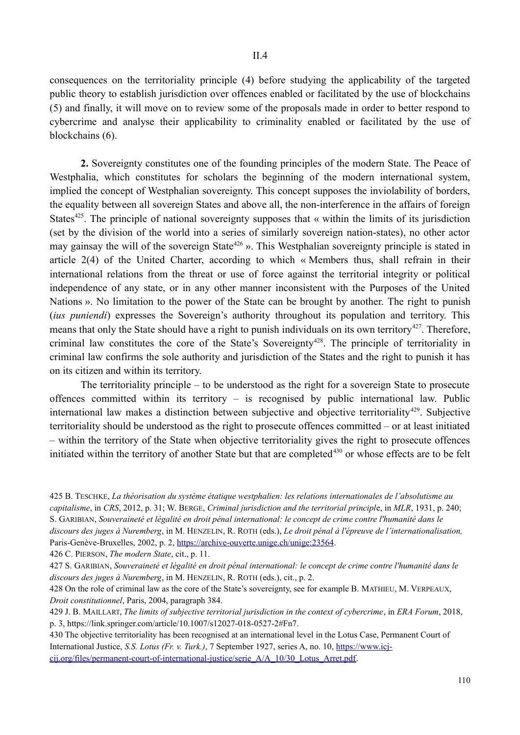consequences on the territoriality principle (4) before studying the applicability of the targeted public theory to establish jurisdiction over offences enabled or facilitated by the use of blockchains (5) and finally, it will move on to review some of the proposals made in order to better respond to cybercrime and analyse their applicability to criminality enabled or facilitated by the use of blockchains (6).

**2.** Sovereignty constitutes one of the founding principles of the modern State. The Peace of Westphalia, which constitutes for scholars the beginning of the modern international system, implied the concept of Westphalian sovereignty. This concept supposes the inviolability of borders, the equality between all sovereign States and above all, the non-interference in the affairs of foreign States<sup> $425$ </sup>. The principle of national sovereignty supposes that « within the limits of its jurisdiction (set by the division of the world into a series of similarly sovereign nation-states), no other actor may gainsay the will of the sovereign State<sup>426</sup> ». This Westphalian sovereignty principle is stated in article 2(4) of the United Charter, according to which « Members thus, shall refrain in their international relations from the threat or use of force against the territorial integrity or political independence of any state, or in any other manner inconsistent with the Purposes of the United Nations ». No limitation to the power of the State can be brought by another. The right to punish (*ius puniendi*) expresses the Sovereign's authority throughout its population and territory. This means that only the State should have a right to punish individuals on its own territory<sup>427</sup>. Therefore, criminal law constitutes the core of the State's Sovereignty<sup>428</sup>. The principle of territoriality in criminal law confirms the sole authority and jurisdiction of the States and the right to punish it has on its citizen and within its territory.

The territoriality principle – to be understood as the right for a sovereign State to prosecute offences committed within its territory – is recognised by public international law. Public international law makes a distinction between subjective and objective territoriality<sup>429</sup>. Subjective territoriality should be understood as the right to prosecute offences committed – or at least initiated – within the territory of the State when objective territoriality gives the right to prosecute offences initiated within the territory of another State but that are completed<sup>430</sup> or whose effects are to be felt

425 B. TESCHKE, *La théorisation du système étatique westphalien: les relations internationales de l'absolutisme au capitalisme*, in *CRS*, 2012, p. 31; W. BERGE, *Criminal jurisdiction and the territorial principl*e, in *MLR*, 1931, p. 240; S. GARIBIAN, *Souveraineté et légalité en droit pénal international: le concept de crime contre l'humanité dans le discours des juges à Nuremberg*, in M. HENZELIN, R. ROTH (eds.), *Le droit pénal à l'épreuve de l'internationalisation,*

Paris-Genève-Bruxelles, 2002, p. 2, https://archive-ouverte.unige.ch/unige:23564.

426 C. PIERSON, *The modern State*, cit., p. 11.

427 S. GARIBIAN, *Souveraineté et légalité en droit pénal international: le concept de crime contre l'humanité dans le discours des juges à Nuremberg*, in M. HENZELIN, R. ROTH (eds.), cit., p. 2.

428 On the role of criminal law as the core of the State's sovereignty, see for example B. MATHIEU, M. VERPEAUX, *Droit constitutionnel*, Paris, 2004, paragraph 384.

429 J. B. MAILLART, *The limits of subjective territorial jurisdiction in the context of cybercrime*, in *ERA Forum*, 2018, p. 3, https://link.springer.com/article/10.1007/s12027-018-0527-2#Fn7.

430 The objective territoriality has been recognised at an international level in the Lotus Case, Permanent Court of International Justice, *S.S. Lotus (Fr. v. Turk.)*, 7 September 1927, series A, no. 10, https://www.icjcij.org/files/permanent-court-of-international-justice/serie\_A/A\_10/30\_Lotus\_Arret.pdf.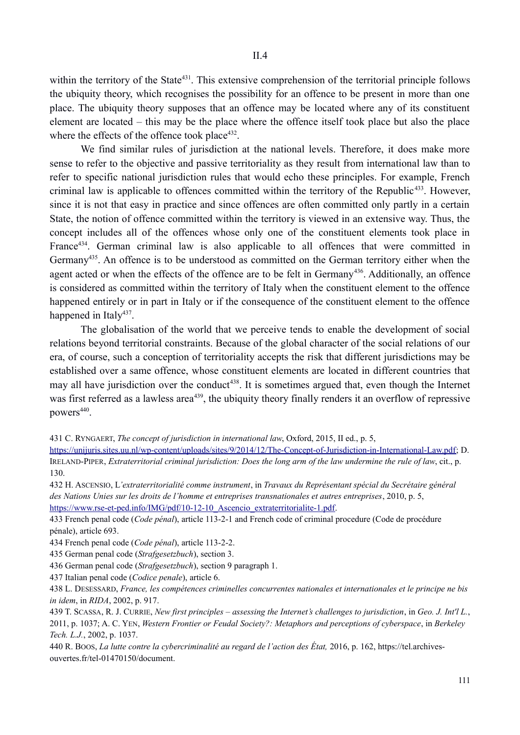within the territory of the State<sup>431</sup>. This extensive comprehension of the territorial principle follows the ubiquity theory, which recognises the possibility for an offence to be present in more than one place. The ubiquity theory supposes that an offence may be located where any of its constituent element are located – this may be the place where the offence itself took place but also the place where the effects of the offence took place $432$ .

We find similar rules of jurisdiction at the national levels. Therefore, it does make more sense to refer to the objective and passive territoriality as they result from international law than to refer to specific national jurisdiction rules that would echo these principles. For example, French criminal law is applicable to offences committed within the territory of the Republic<sup>433</sup>. However, since it is not that easy in practice and since offences are often committed only partly in a certain State, the notion of offence committed within the territory is viewed in an extensive way. Thus, the concept includes all of the offences whose only one of the constituent elements took place in France<sup>434</sup>. German criminal law is also applicable to all offences that were committed in Germany435. An offence is to be understood as committed on the German territory either when the agent acted or when the effects of the offence are to be felt in Germany<sup>436</sup>. Additionally, an offence is considered as committed within the territory of Italy when the constituent element to the offence happened entirely or in part in Italy or if the consequence of the constituent element to the offence happened in Italy<sup>437</sup>.

The globalisation of the world that we perceive tends to enable the development of social relations beyond territorial constraints. Because of the global character of the social relations of our era, of course, such a conception of territoriality accepts the risk that different jurisdictions may be established over a same offence, whose constituent elements are located in different countries that may all have jurisdiction over the conduct<sup>438</sup>. It is sometimes argued that, even though the Internet was first referred as a lawless area<sup>439</sup>, the ubiquity theory finally renders it an overflow of repressive powers<sup>440</sup>.

431 C. RYNGAERT, *The concept of jurisdiction in international law*, Oxford, 2015, II ed., p. 5,

https://unijuris.sites.uu.nl/wp-content/uploads/sites/9/2014/12/The-Concept-of-Jurisdiction-in-International-Law.pdf; D. IRELAND-PIPER, *Extraterritorial criminal jurisdiction: Does the long arm of the law undermine the rule of law*, cit., p. 130.

432 H. ASCENSIO, L*'extraterritorialité comme instrument*, in *Travaux du Representant special du Secretaire general des Nations Unies sur les droits de l'homme et entreprises transnationales et autres entreprises*, 2010, p. 5, https://www.rse-et-ped.info/IMG/pdf/10-12-10 Ascencio\_extraterritorialite-1.pdf.

433 French penal code (*Code pénal*), article 113-2-1 and French code of criminal procedure (Code de procédure pénale), article 693.

434 French penal code (*Code pénal*), article 113-2-2.

435 German penal code (*Strafgesetzbuch*), section 3.

436 German penal code (*Strafgesetzbuch*), section 9 paragraph 1.

437 Italian penal code (*Codice penale*), article 6.

438 L. DESESSARD, *France, les compétences criminelles concurrentes nationales et internationales et le principe ne bis in idem*, in *RIDA*, 2002, p. 917.

439 T. SCASSA, R. J. CURRIE, *New first principles – assessing the Internet's challenges to jurisdiction*, in *Geo. J. Int'l L.*, 2011, p. 1037; A. C. YEN, *Western Frontier or Feudal Society?: Metaphors and perceptions of cyberspace*, in *Berkeley Tech. L.J.*, 2002, p. 1037.

440 R. BOOS, *La lutte contre la cybercriminalité au regard de l'action des État,* 2016, p. 162, https://tel.archivesouvertes.fr/tel-01470150/document.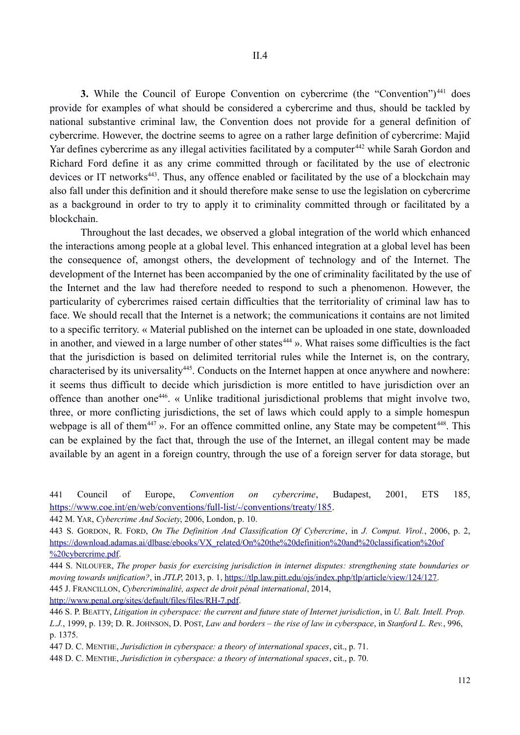**3.** While the Council of Europe Convention on cybercrime (the "Convention")<sup>441</sup> does provide for examples of what should be considered a cybercrime and thus, should be tackled by national substantive criminal law, the Convention does not provide for a general definition of cybercrime. However, the doctrine seems to agree on a rather large definition of cybercrime: Majid Yar defines cybercrime as any illegal activities facilitated by a computer <sup>442</sup> while Sarah Gordon and Richard Ford define it as any crime committed through or facilitated by the use of electronic devices or IT networks<sup>443</sup>. Thus, any offence enabled or facilitated by the use of a blockchain may also fall under this definition and it should therefore make sense to use the legislation on cybercrime as a background in order to try to apply it to criminality committed through or facilitated by a blockchain.

Throughout the last decades, we observed a global integration of the world which enhanced the interactions among people at a global level. This enhanced integration at a global level has been the consequence of, amongst others, the development of technology and of the Internet. The development of the Internet has been accompanied by the one of criminality facilitated by the use of the Internet and the law had therefore needed to respond to such a phenomenon. However, the particularity of cybercrimes raised certain difficulties that the territoriality of criminal law has to face. We should recall that the Internet is a network; the communications it contains are not limited to a specific territory. « Material published on the internet can be uploaded in one state, downloaded in another, and viewed in a large number of other states<sup>444</sup> ». What raises some difficulties is the fact that the jurisdiction is based on delimited territorial rules while the Internet is, on the contrary, characterised by its universality<sup>445</sup>. Conducts on the Internet happen at once anywhere and nowhere: it seems thus difficult to decide which jurisdiction is more entitled to have jurisdiction over an offence than another one446. « Unlike traditional jurisdictional problems that might involve two, three, or more conflicting jurisdictions, the set of laws which could apply to a simple homespun webpage is all of them<sup>447</sup> ». For an offence committed online, any State may be competent<sup>448</sup>. This can be explained by the fact that, through the use of the Internet, an illegal content may be made available by an agent in a foreign country, through the use of a foreign server for data storage, but

441 Council of Europe, *Convention on cybercrime*, Budapest, 2001, ETS 185, https://www.coe.int/en/web/conventions/full-list/-/conventions/treaty/185.

442 M. YAR, *Cybercrime And Society*, 2006, London, p. 10.

443 S. GORDON, R. FORD, *On The Definition And Classification Of Cybercrime*, in *J. Comput. Virol.*, 2006, p. 2, https://download.adamas.ai/dlbase/ebooks/VX\_related/On%20the%20definition%20and%20classification%20of %20cybercrime.pdf.

444 S. NILOUFER, *The proper basis for exercising jurisdiction in internet disputes: strengthening state boundaries or moving towards unification?*, in *JTLP*, 2013, p. 1, https://tlp.law.pitt.edu/ojs/index.php/tlp/article/view/124/127. 445 J. FRANCILLON, *Cybercriminalité, aspect de droit pénal international*, 2014,

http://www.penal.org/sites/default/files/files/RH-7.pdf.

447 D. C. MENTHE, *Jurisdiction in cyberspace: a theory of international spaces*, cit., p. 71.

448 D. C. MENTHE, *Jurisdiction in cyberspace: a theory of international spaces*, cit., p. 70.

<sup>446</sup> S. P. BEATTY, *Litigation in cyberspace: the current and future state of Internet jurisdiction*, in *U. Balt. Intell. Prop. L.J.*, 1999, p. 139; D. R. JOHNSON, D. POST, *Law and borders* – *the rise of law in cyberspace*, in *Stanford L. Rev.*, 996, p. 1375.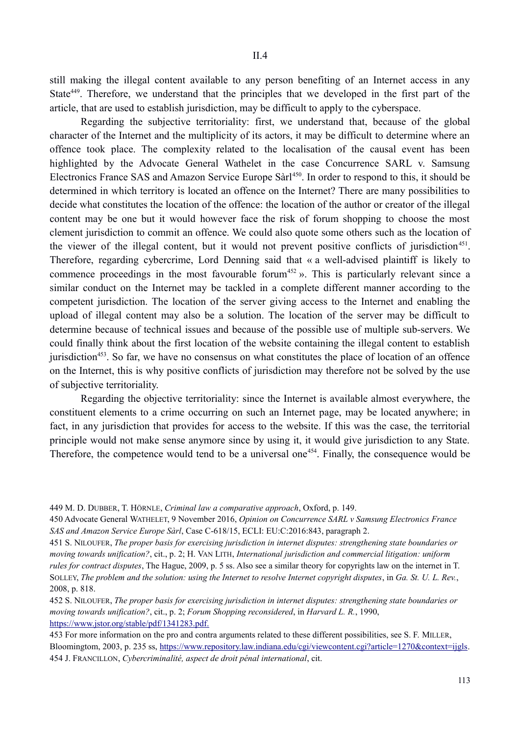still making the illegal content available to any person benefiting of an Internet access in any State<sup>449</sup>. Therefore, we understand that the principles that we developed in the first part of the article, that are used to establish jurisdiction, may be difficult to apply to the cyberspace.

Regarding the subjective territoriality: first, we understand that, because of the global character of the Internet and the multiplicity of its actors, it may be difficult to determine where an offence took place. The complexity related to the localisation of the causal event has been highlighted by the Advocate General Wathelet in the case Concurrence SARL v. Samsung Electronics France SAS and Amazon Service Europe Sàrl<sup>450</sup>. In order to respond to this, it should be determined in which territory is located an offence on the Internet? There are many possibilities to decide what constitutes the location of the offence: the location of the author or creator of the illegal content may be one but it would however face the risk of forum shopping to choose the most clement jurisdiction to commit an offence. We could also quote some others such as the location of the viewer of the illegal content, but it would not prevent positive conflicts of jurisdiction<sup>451</sup>. Therefore, regarding cybercrime, Lord Denning said that « a well-advised plaintiff is likely to commence proceedings in the most favourable forum<sup>452</sup> ». This is particularly relevant since a similar conduct on the Internet may be tackled in a complete different manner according to the competent jurisdiction. The location of the server giving access to the Internet and enabling the upload of illegal content may also be a solution. The location of the server may be difficult to determine because of technical issues and because of the possible use of multiple sub-servers. We could finally think about the first location of the website containing the illegal content to establish jurisdiction<sup>453</sup>. So far, we have no consensus on what constitutes the place of location of an offence on the Internet, this is why positive conflicts of jurisdiction may therefore not be solved by the use of subjective territoriality.

Regarding the objective territoriality: since the Internet is available almost everywhere, the constituent elements to a crime occurring on such an Internet page, may be located anywhere; in fact, in any jurisdiction that provides for access to the website. If this was the case, the territorial principle would not make sense anymore since by using it, it would give jurisdiction to any State. Therefore, the competence would tend to be a universal one<sup>454</sup>. Finally, the consequence would be

449 M. D. DUBBER, T. HÖRNLE, *Criminal law a comparative approach*, Oxford, p. 149.

450 Advocate General WATHELET, 9 November 2016, *Opinion on Concurrence SARL v Samsung Electronics France SAS and Amazon Service Europe Sarl*, Case C-618/15, ECLI: EU:C:2016:843, paragraph 2.

451 S. NILOUFER, *The proper basis for exercising jurisdiction in internet disputes: strengthening state boundaries or moving towards unification?*, cit., p. 2; H. VAN LITH, *International jurisdiction and commercial litigation: uniform rules for contract disputes*, The Hague, 2009, p. 5 ss. Also see a similar theory for copyrights law on the internet in T. SOLLEY, *The problem and the solution: using the Internet to resolve Internet copyright disputes*, in *Ga. St. U. L. Rev.*, 2008, p. 818.

452 S. NILOUFER, *The proper basis for exercising jurisdiction in internet disputes: strengthening state boundaries or moving towards unification?*, cit., p. 2; *Forum Shopping reconsidered*, in *Harvard L. R.*, 1990, https://www.jstor.org/stable/pdf/1341283.pdf.

453 For more information on the pro and contra arguments related to these different possibilities, see S. F. MILLER, Bloomingtom, 2003, p. 235 ss, https://www.repository.law.indiana.edu/cgi/viewcontent.cgi?article=1270&context=ijgls. 454 J. FRANCILLON, *Cybercriminalité, aspect de droit pénal international*, cit.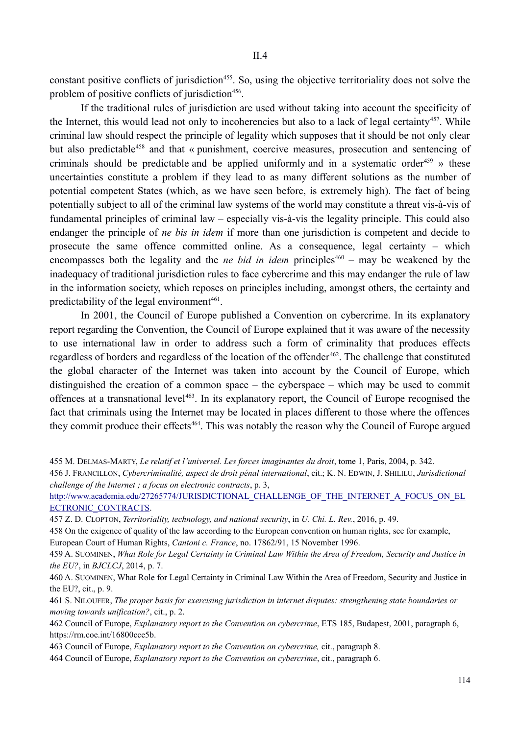constant positive conflicts of jurisdiction<sup>455</sup>. So, using the objective territoriality does not solve the problem of positive conflicts of jurisdiction<sup>456</sup>.

If the traditional rules of jurisdiction are used without taking into account the specificity of the Internet, this would lead not only to incoherencies but also to a lack of legal certainty<sup>457</sup>. While criminal law should respect the principle of legality which supposes that it should be not only clear but also predictable<sup>458</sup> and that « punishment, coercive measures, prosecution and sentencing of criminals should be predictable and be applied uniformly and in a systematic order<sup>459</sup> » these uncertainties constitute a problem if they lead to as many different solutions as the number of potential competent States (which, as we have seen before, is extremely high). The fact of being potentially subject to all of the criminal law systems of the world may constitute a threat vis-à-vis of fundamental principles of criminal law – especially vis-à-vis the legality principle. This could also endanger the principle of *ne bis in idem* if more than one jurisdiction is competent and decide to prosecute the same offence committed online. As a consequence, legal certainty – which encompasses both the legality and the *ne bid in idem* principles<sup>460</sup> – may be weakened by the inadequacy of traditional jurisdiction rules to face cybercrime and this may endanger the rule of law in the information society, which reposes on principles including, amongst others, the certainty and predictability of the legal environment $461$ .

In 2001, the Council of Europe published a Convention on cybercrime. In its explanatory report regarding the Convention, the Council of Europe explained that it was aware of the necessity to use international law in order to address such a form of criminality that produces effects regardless of borders and regardless of the location of the offender<sup>462</sup>. The challenge that constituted the global character of the Internet was taken into account by the Council of Europe, which distinguished the creation of a common space – the cyberspace – which may be used to commit offences at a transnational level<sup>463</sup>. In its explanatory report, the Council of Europe recognised the fact that criminals using the Internet may be located in places different to those where the offences they commit produce their effects<sup>464</sup>. This was notably the reason why the Council of Europe argued

http://www.academia.edu/27265774/JURISDICTIONAL\_CHALLENGE\_OF\_THE\_INTERNET\_A\_FOCUS\_ON\_EL ECTRONIC\_CONTRACTS.

457 Z. D. CLOPTON, *Territoriality, technology, and national security*, in *U. Chi. L. Rev.*, 2016, p. 49.

458 On the exigence of quality of the law according to the European convention on human rights, see for example, European Court of Human Rights, *Cantoni c. France*, no. 17862/91, 15 November 1996.

459 A. SUOMINEN, *What Role for Legal Certainty in Criminal Law Within the Area of Freedom, Security and Justice in the EU?*, in *BJCLCJ*, 2014, p. 7.

460 A. SUOMINEN, What Role for Legal Certainty in Criminal Law Within the Area of Freedom, Security and Justice in the EU?, cit., p. 9.

461 S. NILOUFER, *The proper basis for exercising jurisdiction in internet disputes: strengthening state boundaries or moving towards unification?*, cit., p. 2.

462 Council of Europe, *Explanatory report to the Convention on cybercrime*, ETS 185, Budapest, 2001, paragraph 6, https://rm.coe.int/16800cce5b.

463 Council of Europe, *Explanatory report to the Convention on cybercrime,* cit., paragraph 8.

464 Council of Europe, *Explanatory report to the Convention on cybercrime*, cit., paragraph 6.

<sup>455</sup> M. DELMAS-MARTY, *Le relatif et l'universel. Les forces imaginantes du droit*, tome 1, Paris, 2004, p. 342.

<sup>456</sup> J. FRANCILLON, *Cybercriminalité, aspect de droit pénal international*, cit.; K. N. EDWIN, J. SHILILU, *Jurisdictional challenge of the Internet ; a focus on electronic contracts*, p. 3,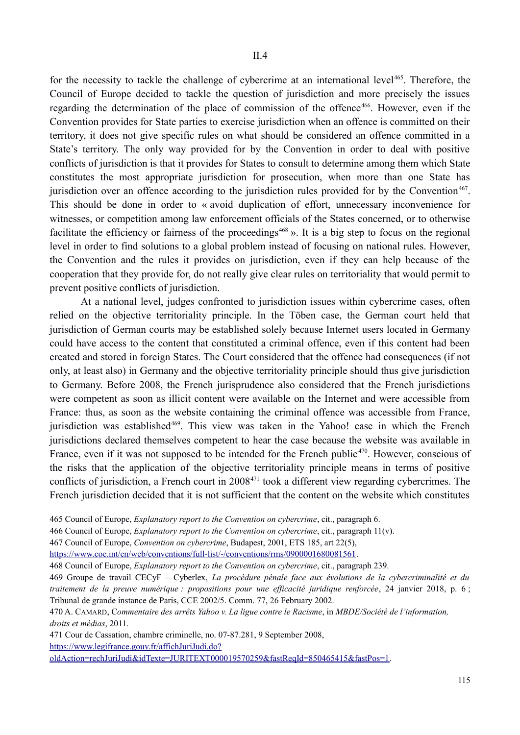for the necessity to tackle the challenge of cybercrime at an international level<sup>465</sup>. Therefore, the Council of Europe decided to tackle the question of jurisdiction and more precisely the issues regarding the determination of the place of commission of the offence<sup>466</sup>. However, even if the Convention provides for State parties to exercise jurisdiction when an offence is committed on their territory, it does not give specific rules on what should be considered an offence committed in a State's territory. The only way provided for by the Convention in order to deal with positive conflicts of jurisdiction is that it provides for States to consult to determine among them which State constitutes the most appropriate jurisdiction for prosecution, when more than one State has jurisdiction over an offence according to the jurisdiction rules provided for by the Convention<sup>467</sup>. This should be done in order to « avoid duplication of effort, unnecessary inconvenience for witnesses, or competition among law enforcement officials of the States concerned, or to otherwise facilitate the efficiency or fairness of the proceedings<sup> $468$ </sup>». It is a big step to focus on the regional level in order to find solutions to a global problem instead of focusing on national rules. However, the Convention and the rules it provides on jurisdiction, even if they can help because of the cooperation that they provide for, do not really give clear rules on territoriality that would permit to prevent positive conflicts of jurisdiction.

At a national level, judges confronted to jurisdiction issues within cybercrime cases, often relied on the objective territoriality principle. In the Töben case, the German court held that jurisdiction of German courts may be established solely because Internet users located in Germany could have access to the content that constituted a criminal offence, even if this content had been created and stored in foreign States. The Court considered that the offence had consequences (if not only, at least also) in Germany and the objective territoriality principle should thus give jurisdiction to Germany. Before 2008, the French jurisprudence also considered that the French jurisdictions were competent as soon as illicit content were available on the Internet and were accessible from France: thus, as soon as the website containing the criminal offence was accessible from France, jurisdiction was established<sup>469</sup>. This view was taken in the Yahoo! case in which the French jurisdictions declared themselves competent to hear the case because the website was available in France, even if it was not supposed to be intended for the French public<sup>470</sup>. However, conscious of the risks that the application of the objective territoriality principle means in terms of positive conflicts of jurisdiction, a French court in 2008<sup>471</sup> took a different view regarding cybercrimes. The French jurisdiction decided that it is not sufficient that the content on the website which constitutes

465 Council of Europe, *Explanatory report to the Convention on cybercrime*, cit., paragraph 6.

466 Council of Europe, *Explanatory report to the Convention on cybercrime*, cit., paragraph 11(v).

467 Council of Europe, *Convention on cybercrime*, Budapest, 2001, ETS 185, art 22(5),

https://www.coe.int/en/web/conventions/full-list/-/conventions/rms/0900001680081561.

468 Council of Europe, *Explanatory report to the Convention on cybercrime*, cit., paragraph 239.

469 Groupe de travail CECyF – Cyberlex, *La procédure pénale face aux évolutions de la cybercriminalité et du traitement de la preuve numérique : propositions pour une efficacité juridique renforcée*, 24 janvier 2018, p. 6 ; Tribunal de grande instance de Paris, CCE 2002/5. Comm. 77, 26 February 2002.

470 A. CAMARD, C*ommentaire des arrêts Yahoo v. La ligue contre le Racisme*, in *MBDE/Société de l'information, droits et médias*, 2011.

471 Cour de Cassation, chambre criminelle, no. 07-87.281, 9 September 2008, https://www.legifrance.gouv.fr/affichJuriJudi.do?

oldAction=rechJuriJudi&idTexte=JURITEXT000019570259&fastReqId=850465415&fastPos=1.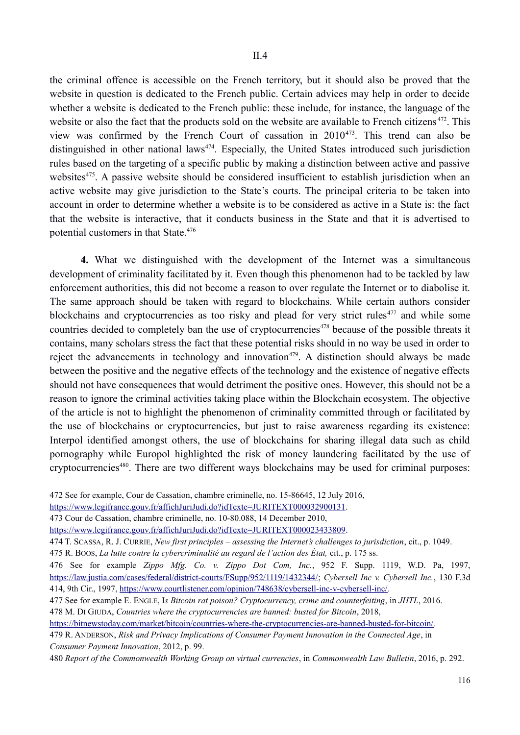the criminal offence is accessible on the French territory, but it should also be proved that the website in question is dedicated to the French public. Certain advices may help in order to decide whether a website is dedicated to the French public: these include, for instance, the language of the website or also the fact that the products sold on the website are available to French citizens<sup>472</sup>. This view was confirmed by the French Court of cassation in 2010473. This trend can also be distinguished in other national laws<sup> $474$ </sup>. Especially, the United States introduced such jurisdiction rules based on the targeting of a specific public by making a distinction between active and passive websites<sup>475</sup>. A passive website should be considered insufficient to establish jurisdiction when an active website may give jurisdiction to the State's courts. The principal criteria to be taken into account in order to determine whether a website is to be considered as active in a State is: the fact that the website is interactive, that it conducts business in the State and that it is advertised to potential customers in that State.<sup>476</sup>

**4.** What we distinguished with the development of the Internet was a simultaneous development of criminality facilitated by it. Even though this phenomenon had to be tackled by law enforcement authorities, this did not become a reason to over regulate the Internet or to diabolise it. The same approach should be taken with regard to blockchains. While certain authors consider blockchains and cryptocurrencies as too risky and plead for very strict rules<sup> $477$ </sup> and while some countries decided to completely ban the use of cryptocurrencies<sup>478</sup> because of the possible threats it contains, many scholars stress the fact that these potential risks should in no way be used in order to reject the advancements in technology and innovation<sup>479</sup>. A distinction should always be made between the positive and the negative effects of the technology and the existence of negative effects should not have consequences that would detriment the positive ones. However, this should not be a reason to ignore the criminal activities taking place within the Blockchain ecosystem. The objective of the article is not to highlight the phenomenon of criminality committed through or facilitated by the use of blockchains or cryptocurrencies, but just to raise awareness regarding its existence: Interpol identified amongst others, the use of blockchains for sharing illegal data such as child pornography while Europol highlighted the risk of money laundering facilitated by the use of cryptocurrencies<sup>480</sup>. There are two different ways blockchains may be used for criminal purposes:

472 See for example, Cour de Cassation, chambre criminelle, no. 15-86645, 12 July 2016,

https://www.legifrance.gouv.fr/affichJuriJudi.do?idTexte=JURITEXT000032900131.

473 Cour de Cassation, chambre criminelle, no. 10-80.088, 14 December 2010,

https://www.legifrance.gouv.fr/affichJuriJudi.do?idTexte=JURITEXT000023433809.

474 T. SCASSA, R. J. CURRIE, *New first principles – assessing the Internet's challenges to jurisdiction*, cit., p. 1049.

475 R. BOOS, *La lutte contre la cybercriminalité au regard de l'action des État,* cit., p. 175 ss.

476 See for example *Zippo Mfg. Co. v. Zippo Dot Com, Inc.*, 952 F. Supp. 1119, W.D. Pa, 1997, https://law.justia.com/cases/federal/district-courts/FSupp/952/1119/1432344/; *Cybersell Inc v. Cybersell Inc.*, 130 F.3d 414, 9th Cir., 1997, https://www.courtlistener.com/opinion/748638/cybersell-inc-v-cybersell-inc/.

477 See for example E. ENGLE, I*s Bitcoin rat poison? Cryptocurrency, crime and counterfeiting*, in *JHTL*, 2016. 478 M. DI GIUDA, *Countries where the cryptocurrencies are banned: busted for Bitcoin*, 2018,

https://bitnewstoday.com/market/bitcoin/countries-where-the-cryptocurrencies-are-banned-busted-for-bitcoin/.

479 R. ANDERSON, *Risk and Privacy Implications of Consumer Payment Innovation in the Connected Age*, in *Consumer Payment Innovation*, 2012, p. 99.

480 *Report of the Commonwealth Working Group on virtual currencies*, in *Commonwealth Law Bulletin*, 2016, p. 292.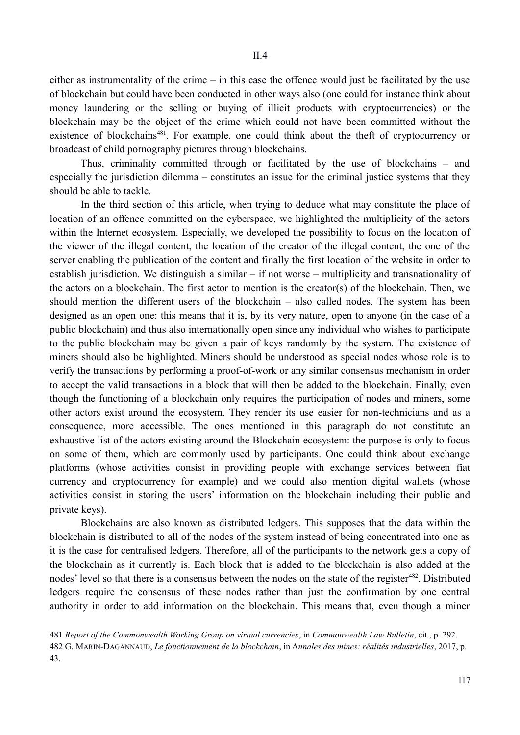either as instrumentality of the crime – in this case the offence would just be facilitated by the use of blockchain but could have been conducted in other ways also (one could for instance think about money laundering or the selling or buying of illicit products with cryptocurrencies) or the blockchain may be the object of the crime which could not have been committed without the existence of blockchains<sup>481</sup>. For example, one could think about the theft of cryptocurrency or broadcast of child pornography pictures through blockchains.

Thus, criminality committed through or facilitated by the use of blockchains – and especially the jurisdiction dilemma – constitutes an issue for the criminal justice systems that they should be able to tackle.

In the third section of this article, when trying to deduce what may constitute the place of location of an offence committed on the cyberspace, we highlighted the multiplicity of the actors within the Internet ecosystem. Especially, we developed the possibility to focus on the location of the viewer of the illegal content, the location of the creator of the illegal content, the one of the server enabling the publication of the content and finally the first location of the website in order to establish jurisdiction. We distinguish a similar – if not worse – multiplicity and transnationality of the actors on a blockchain. The first actor to mention is the creator(s) of the blockchain. Then, we should mention the different users of the blockchain – also called nodes. The system has been designed as an open one: this means that it is, by its very nature, open to anyone (in the case of a public blockchain) and thus also internationally open since any individual who wishes to participate to the public blockchain may be given a pair of keys randomly by the system. The existence of miners should also be highlighted. Miners should be understood as special nodes whose role is to verify the transactions by performing a proof-of-work or any similar consensus mechanism in order to accept the valid transactions in a block that will then be added to the blockchain. Finally, even though the functioning of a blockchain only requires the participation of nodes and miners, some other actors exist around the ecosystem. They render its use easier for non-technicians and as a consequence, more accessible. The ones mentioned in this paragraph do not constitute an exhaustive list of the actors existing around the Blockchain ecosystem: the purpose is only to focus on some of them, which are commonly used by participants. One could think about exchange platforms (whose activities consist in providing people with exchange services between fiat currency and cryptocurrency for example) and we could also mention digital wallets (whose activities consist in storing the users' information on the blockchain including their public and private keys).

Blockchains are also known as distributed ledgers. This supposes that the data within the blockchain is distributed to all of the nodes of the system instead of being concentrated into one as it is the case for centralised ledgers. Therefore, all of the participants to the network gets a copy of the blockchain as it currently is. Each block that is added to the blockchain is also added at the nodes' level so that there is a consensus between the nodes on the state of the register<sup>482</sup>. Distributed ledgers require the consensus of these nodes rather than just the confirmation by one central authority in order to add information on the blockchain. This means that, even though a miner

481 *Report of the Commonwealth Working Group on virtual currencies*, in *Commonwealth Law Bulletin*, cit., p. 292. 482 G. MARIN-DAGANNAUD, *Le fonctionnement de la blockchain*, in A*nnales des mines: réalités industrielles*, 2017, p. 43.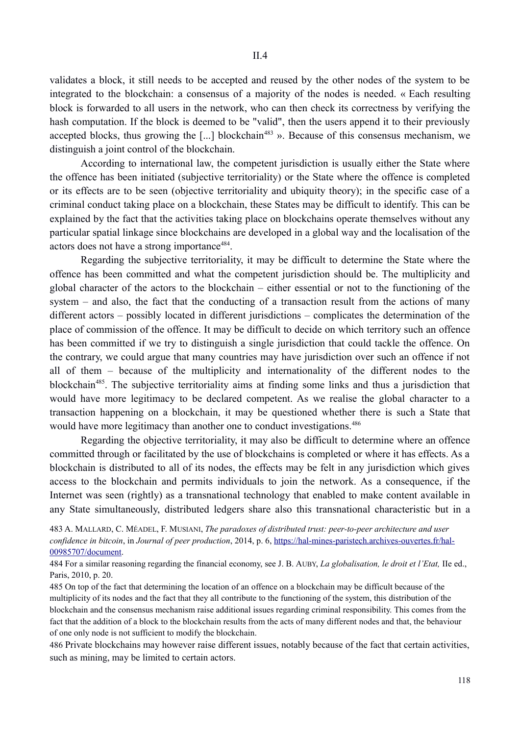validates a block, it still needs to be accepted and reused by the other nodes of the system to be integrated to the blockchain: a consensus of a majority of the nodes is needed. « Each resulting block is forwarded to all users in the network, who can then check its correctness by verifying the hash computation. If the block is deemed to be "valid", then the users append it to their previously accepted blocks, thus growing the [...] blockchain<sup>483</sup> ». Because of this consensus mechanism, we distinguish a joint control of the blockchain.

According to international law, the competent jurisdiction is usually either the State where the offence has been initiated (subjective territoriality) or the State where the offence is completed or its effects are to be seen (objective territoriality and ubiquity theory); in the specific case of a criminal conduct taking place on a blockchain, these States may be difficult to identify. This can be explained by the fact that the activities taking place on blockchains operate themselves without any particular spatial linkage since blockchains are developed in a global way and the localisation of the actors does not have a strong importance<sup>484</sup>.

Regarding the subjective territoriality, it may be difficult to determine the State where the offence has been committed and what the competent jurisdiction should be. The multiplicity and global character of the actors to the blockchain – either essential or not to the functioning of the system – and also, the fact that the conducting of a transaction result from the actions of many different actors – possibly located in different jurisdictions – complicates the determination of the place of commission of the offence. It may be difficult to decide on which territory such an offence has been committed if we try to distinguish a single jurisdiction that could tackle the offence. On the contrary, we could argue that many countries may have jurisdiction over such an offence if not all of them – because of the multiplicity and internationality of the different nodes to the blockchain<sup>485</sup>. The subjective territoriality aims at finding some links and thus a jurisdiction that would have more legitimacy to be declared competent. As we realise the global character to a transaction happening on a blockchain, it may be questioned whether there is such a State that would have more legitimacy than another one to conduct investigations.<sup>486</sup>

Regarding the objective territoriality, it may also be difficult to determine where an offence committed through or facilitated by the use of blockchains is completed or where it has effects. As a blockchain is distributed to all of its nodes, the effects may be felt in any jurisdiction which gives access to the blockchain and permits individuals to join the network. As a consequence, if the Internet was seen (rightly) as a transnational technology that enabled to make content available in any State simultaneously, distributed ledgers share also this transnational characteristic but in a

483 A. MALLARD, C. MÉADEL, F. MUSIANI, *The paradoxes of distributed trust: peer-to-peer architecture and user confidence in bitcoin*, in *Journal of peer production*, 2014, p. 6, https://hal-mines-paristech.archives-ouvertes.fr/hal-00985707/document.

484 For a similar reasoning regarding the financial economy, see J. B. AUBY, *La globalisation, le droit et l'Etat,* IIe ed., Paris, 2010, p. 20.

485 On top of the fact that determining the location of an offence on a blockchain may be difficult because of the multiplicity of its nodes and the fact that they all contribute to the functioning of the system, this distribution of the blockchain and the consensus mechanism raise additional issues regarding criminal responsibility. This comes from the fact that the addition of a block to the blockchain results from the acts of many different nodes and that, the behaviour of one only node is not sufficient to modify the blockchain.

486 Private blockchains may however raise different issues, notably because of the fact that certain activities, such as mining, may be limited to certain actors.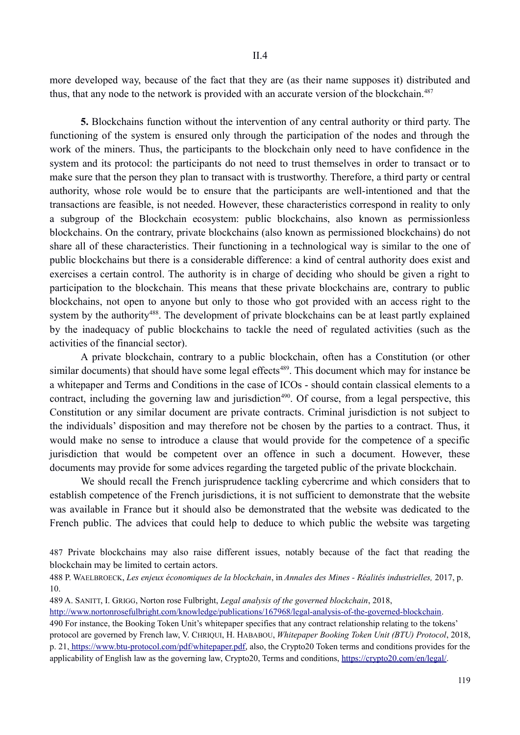more developed way, because of the fact that they are (as their name supposes it) distributed and thus, that any node to the network is provided with an accurate version of the blockchain.<sup>487</sup>

**5.** Blockchains function without the intervention of any central authority or third party. The functioning of the system is ensured only through the participation of the nodes and through the work of the miners. Thus, the participants to the blockchain only need to have confidence in the system and its protocol: the participants do not need to trust themselves in order to transact or to make sure that the person they plan to transact with is trustworthy. Therefore, a third party or central authority, whose role would be to ensure that the participants are well-intentioned and that the transactions are feasible, is not needed. However, these characteristics correspond in reality to only a subgroup of the Blockchain ecosystem: public blockchains, also known as permissionless blockchains. On the contrary, private blockchains (also known as permissioned blockchains) do not share all of these characteristics. Their functioning in a technological way is similar to the one of public blockchains but there is a considerable difference: a kind of central authority does exist and exercises a certain control. The authority is in charge of deciding who should be given a right to participation to the blockchain. This means that these private blockchains are, contrary to public blockchains, not open to anyone but only to those who got provided with an access right to the system by the authority<sup>488</sup>. The development of private blockchains can be at least partly explained by the inadequacy of public blockchains to tackle the need of regulated activities (such as the activities of the financial sector).

A private blockchain, contrary to a public blockchain, often has a Constitution (or other similar documents) that should have some legal effects<sup>489</sup>. This document which may for instance be a whitepaper and Terms and Conditions in the case of ICOs - should contain classical elements to a contract, including the governing law and jurisdiction<sup>490</sup>. Of course, from a legal perspective, this Constitution or any similar document are private contracts. Criminal jurisdiction is not subject to the individuals' disposition and may therefore not be chosen by the parties to a contract. Thus, it would make no sense to introduce a clause that would provide for the competence of a specific jurisdiction that would be competent over an offence in such a document. However, these documents may provide for some advices regarding the targeted public of the private blockchain.

We should recall the French jurisprudence tackling cybercrime and which considers that to establish competence of the French jurisdictions, it is not sufficient to demonstrate that the website was available in France but it should also be demonstrated that the website was dedicated to the French public. The advices that could help to deduce to which public the website was targeting

487 Private blockchains may also raise different issues, notably because of the fact that reading the blockchain may be limited to certain actors.

- 489 A. SANITT, I. GRIGG, Norton rose Fulbright, *Legal analysis of the governed blockchain*, 2018,
- http://www.nortonrosefulbright.com/knowledge/publications/167968/legal-analysis-of-the-governed-blockchain.

490 For instance, the Booking Token Unit's whitepaper specifies that any contract relationship relating to the tokens' protocol are governed by French law, V. CHRIQUI, H. HABABOU, *Whitepaper Booking Token Unit (BTU) Protocol*, 2018, p. 21, https://www.btu-protocol.com/pdf/whitepaper.pdf, also, the Crypto20 Token terms and conditions provides for the applicability of English law as the governing law, Crypto20, Terms and conditions, https://crypto20.com/en/legal/.

<sup>488</sup> P. WAELBROECK, *Les enjeux économiques de la blockchain*, in *Annales des Mines - Réalités industrielles,* 2017, p. 10.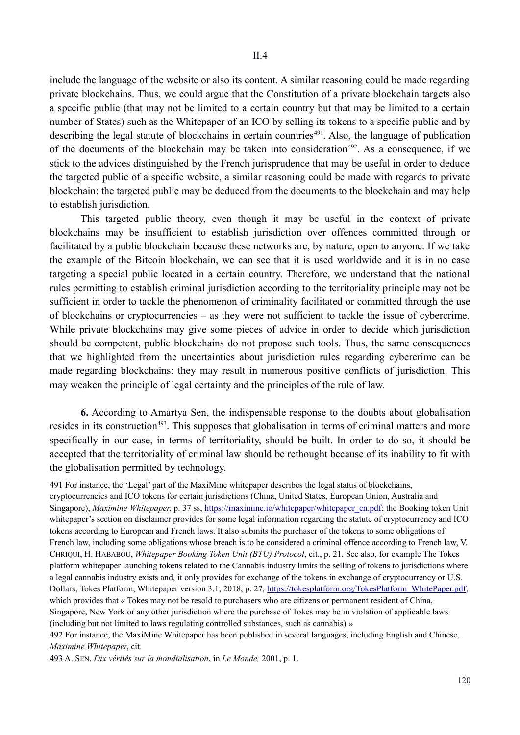include the language of the website or also its content. A similar reasoning could be made regarding private blockchains. Thus, we could argue that the Constitution of a private blockchain targets also a specific public (that may not be limited to a certain country but that may be limited to a certain number of States) such as the Whitepaper of an ICO by selling its tokens to a specific public and by describing the legal statute of blockchains in certain countries<sup> $491$ </sup>. Also, the language of publication of the documents of the blockchain may be taken into consideration<sup> $492$ </sup>. As a consequence, if we stick to the advices distinguished by the French jurisprudence that may be useful in order to deduce the targeted public of a specific website, a similar reasoning could be made with regards to private blockchain: the targeted public may be deduced from the documents to the blockchain and may help to establish jurisdiction.

This targeted public theory, even though it may be useful in the context of private blockchains may be insufficient to establish jurisdiction over offences committed through or facilitated by a public blockchain because these networks are, by nature, open to anyone. If we take the example of the Bitcoin blockchain, we can see that it is used worldwide and it is in no case targeting a special public located in a certain country. Therefore, we understand that the national rules permitting to establish criminal jurisdiction according to the territoriality principle may not be sufficient in order to tackle the phenomenon of criminality facilitated or committed through the use of blockchains or cryptocurrencies – as they were not sufficient to tackle the issue of cybercrime. While private blockchains may give some pieces of advice in order to decide which jurisdiction should be competent, public blockchains do not propose such tools. Thus, the same consequences that we highlighted from the uncertainties about jurisdiction rules regarding cybercrime can be made regarding blockchains: they may result in numerous positive conflicts of jurisdiction. This may weaken the principle of legal certainty and the principles of the rule of law.

**6.** According to Amartya Sen, the indispensable response to the doubts about globalisation resides in its construction<sup>493</sup>. This supposes that globalisation in terms of criminal matters and more specifically in our case, in terms of territoriality, should be built. In order to do so, it should be accepted that the territoriality of criminal law should be rethought because of its inability to fit with the globalisation permitted by technology.

491 For instance, the 'Legal' part of the MaxiMine whitepaper describes the legal status of blockchains, cryptocurrencies and ICO tokens for certain jurisdictions (China, United States, European Union, Australia and Singapore), *Maximine Whitepaper*, p. 37 ss, https://maximine.io/whitepaper/whitepaper\_en.pdf; the Booking token Unit whitepaper's section on disclaimer provides for some legal information regarding the statute of cryptocurrency and ICO tokens according to European and French laws. It also submits the purchaser of the tokens to some obligations of French law, including some obligations whose breach is to be considered a criminal offence according to French law, V. CHRIQUI, H. HABABOU, *Whitepaper Booking Token Unit (BTU) Protocol*, cit., p. 21. See also, for example The Tokes platform whitepaper launching tokens related to the Cannabis industry limits the selling of tokens to jurisdictions where a legal cannabis industry exists and, it only provides for exchange of the tokens in exchange of cryptocurrency or U.S. Dollars, Tokes Platform, Whitepaper version 3.1, 2018, p. 27, https://tokesplatform.org/TokesPlatform\_WhitePaper.pdf, which provides that « Tokes may not be resold to purchasers who are citizens or permanent resident of China, Singapore, New York or any other jurisdiction where the purchase of Tokes may be in violation of applicable laws (including but not limited to laws regulating controlled substances, such as cannabis) »

492 For instance, the MaxiMine Whitepaper has been published in several languages, including English and Chinese, *Maximine Whitepaper*, cit.

493 A. SEN, *Dix vérités sur la mondialisation*, in *Le Monde,* 2001, p. 1.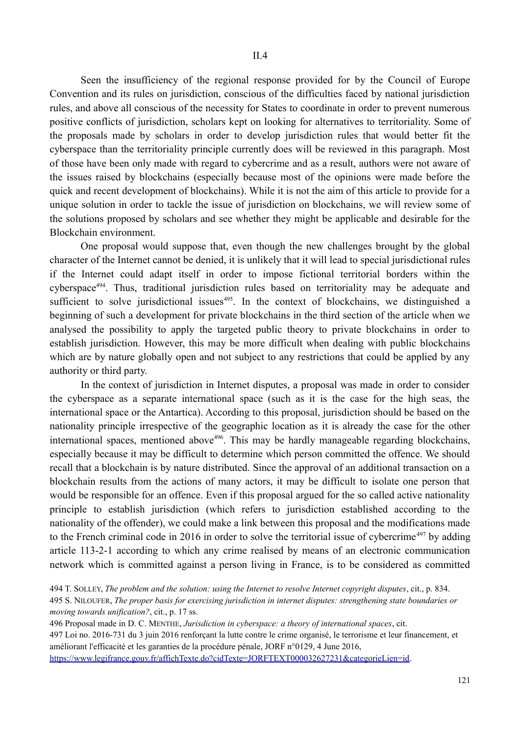Seen the insufficiency of the regional response provided for by the Council of Europe Convention and its rules on jurisdiction, conscious of the difficulties faced by national jurisdiction rules, and above all conscious of the necessity for States to coordinate in order to prevent numerous positive conflicts of jurisdiction, scholars kept on looking for alternatives to territoriality. Some of the proposals made by scholars in order to develop jurisdiction rules that would better fit the cyberspace than the territoriality principle currently does will be reviewed in this paragraph. Most of those have been only made with regard to cybercrime and as a result, authors were not aware of the issues raised by blockchains (especially because most of the opinions were made before the quick and recent development of blockchains). While it is not the aim of this article to provide for a unique solution in order to tackle the issue of jurisdiction on blockchains, we will review some of the solutions proposed by scholars and see whether they might be applicable and desirable for the Blockchain environment.

One proposal would suppose that, even though the new challenges brought by the global character of the Internet cannot be denied, it is unlikely that it will lead to special jurisdictional rules if the Internet could adapt itself in order to impose fictional territorial borders within the cyberspace<sup>494</sup>. Thus, traditional jurisdiction rules based on territoriality may be adequate and sufficient to solve jurisdictional issues<sup> $495$ </sup>. In the context of blockchains, we distinguished a beginning of such a development for private blockchains in the third section of the article when we analysed the possibility to apply the targeted public theory to private blockchains in order to establish jurisdiction. However, this may be more difficult when dealing with public blockchains which are by nature globally open and not subject to any restrictions that could be applied by any authority or third party.

In the context of jurisdiction in Internet disputes, a proposal was made in order to consider the cyberspace as a separate international space (such as it is the case for the high seas, the international space or the Antartica). According to this proposal, jurisdiction should be based on the nationality principle irrespective of the geographic location as it is already the case for the other international spaces, mentioned above<sup>496</sup>. This may be hardly manageable regarding blockchains, especially because it may be difficult to determine which person committed the offence. We should recall that a blockchain is by nature distributed. Since the approval of an additional transaction on a blockchain results from the actions of many actors, it may be difficult to isolate one person that would be responsible for an offence. Even if this proposal argued for the so called active nationality principle to establish jurisdiction (which refers to jurisdiction established according to the nationality of the offender), we could make a link between this proposal and the modifications made to the French criminal code in 2016 in order to solve the territorial issue of cybercrime<sup>497</sup> by adding article 113-2-1 according to which any crime realised by means of an electronic communication network which is committed against a person living in France, is to be considered as committed

<sup>494</sup> T. SOLLEY, *The problem and the solution: using the Internet to resolve Internet copyright disputes*, cit., p. 834.

<sup>495</sup> S. NILOUFER, *The proper basis for exercising jurisdiction in internet disputes: strengthening state boundaries or moving towards unification?*, cit., p. 17 ss.

<sup>496</sup> Proposal made in D. C. MENTHE, *Jurisdiction in cyberspace: a theory of international spaces*, cit.

<sup>497</sup> Loi no. 2016-731 du 3 juin 2016 renforçant la lutte contre le crime organisé, le terrorisme et leur financement, et améliorant l'efficacité et les garanties de la procédure pénale, JORF n°0129, 4 June 2016,

https://www.legifrance.gouv.fr/affichTexte.do?cidTexte=JORFTEXT000032627231&categorieLien=id.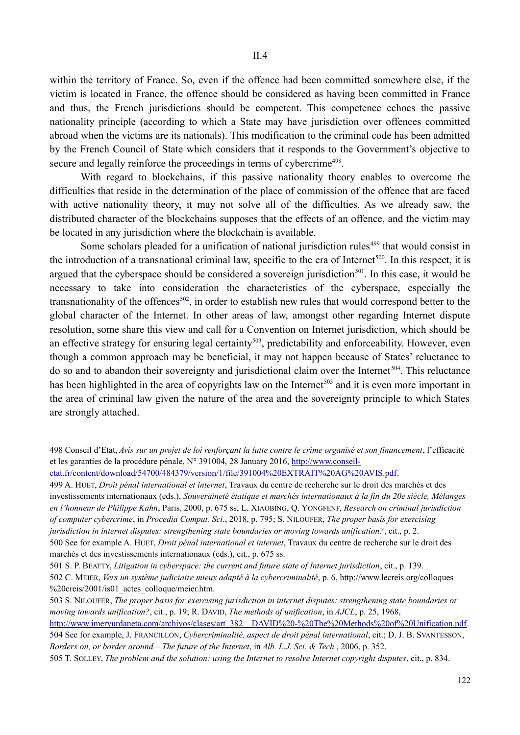within the territory of France. So, even if the offence had been committed somewhere else, if the victim is located in France, the offence should be considered as having been committed in France and thus, the French jurisdictions should be competent. This competence echoes the passive nationality principle (according to which a State may have jurisdiction over offences committed abroad when the victims are its nationals). This modification to the criminal code has been admitted by the French Council of State which considers that it responds to the Government's objective to secure and legally reinforce the proceedings in terms of cybercrime<sup>498</sup>.

With regard to blockchains, if this passive nationality theory enables to overcome the difficulties that reside in the determination of the place of commission of the offence that are faced with active nationality theory, it may not solve all of the difficulties. As we already saw, the distributed character of the blockchains supposes that the effects of an offence, and the victim may be located in any jurisdiction where the blockchain is available.

Some scholars pleaded for a unification of national jurisdiction rules<sup>499</sup> that would consist in the introduction of a transnational criminal law, specific to the era of Internet<sup>500</sup>. In this respect, it is argued that the cyberspace should be considered a sovereign jurisdiction<sup>501</sup>. In this case, it would be necessary to take into consideration the characteristics of the cyberspace, especially the transnationality of the offences<sup>502</sup>, in order to establish new rules that would correspond better to the global character of the Internet. In other areas of law, amongst other regarding Internet dispute resolution, some share this view and call for a Convention on Internet jurisdiction, which should be an effective strategy for ensuring legal certainty<sup>503</sup>, predictability and enforceability. However, even though a common approach may be beneficial, it may not happen because of States' reluctance to do so and to abandon their sovereignty and jurisdictional claim over the Internet<sup>504</sup>. This reluctance has been highlighted in the area of copyrights law on the Internet<sup>505</sup> and it is even more important in the area of criminal law given the nature of the area and the sovereignty principle to which States are strongly attached.

etat.fr/content/download/54700/484379/version/1/file/391004%20EXTRAIT%20AG%20AVIS.pdf.

499 A. HUET, *Droit pénal international et internet*, Travaux du centre de recherche sur le droit des marchés et des investissements internationaux (eds.), *Souveraineté étatique et marchés internationaux à la fin du 20e siècle, Mélanges en l'honneur de Philippe Kahn*, Paris, 2000, p. 675 ss; L. XIAOBING, Q. YONGFENF, *Research on criminal jurisdiction of computer cybercrime*, in *Procedia Comput. Sci.*, 2018, p. 795; S. NILOUFER, *The proper basis for exercising jurisdiction in internet disputes: strengthening state boundaries or moving towards unification?*, cit., p. 2. 500 See for example A. HUET, *Droit pénal international et internet*, Travaux du centre de recherche sur le droit des

marchés et des investissements internationaux (eds.), cit., p. 675 ss.

http://www.imeryurdaneta.com/archivos/clases/art\_382\_\_DAVID%20-%20The%20Methods%20of%20Unification.pdf.

504 See for example, J. FRANCILLON, *Cybercriminalité, aspect de droit pénal international*, cit.; D. J. B. SVANTESSON, *Borders on, or border around* – *The future of the Internet*, in *Alb. L.J. Sci. & Tech.*, 2006, p. 352.

505 T. SOLLEY, *The problem and the solution: using the Internet to resolve Internet copyright disputes*, cit., p. 834.

<sup>498</sup> Conseil d'Etat, *Avis sur un projet de loi renforçant la lutte contre le crime organisé et son financement*, l'efficacité et les garanties de la procédure pénale, N° 391004, 28 January 2016, http://www.conseil-

<sup>501</sup> S. P. BEATTY, *Litigation in cyberspace: the current and future state of Internet jurisdiction*, cit., p. 139. 502 C. MEIER, *Vers un système judiciaire mieux adapté à la cybercriminalité*, p. 6, http://www.lecreis.org/colloques %20creis/2001/is01\_actes\_colloque/meier.htm.

<sup>503</sup> S. NILOUFER, *The proper basis for exercising jurisdiction in internet disputes: strengthening state boundaries or moving towards unification?*, cit., p. 19; R. DAVID, *The methods of unification*, in *AJCL*, p. 25, 1968,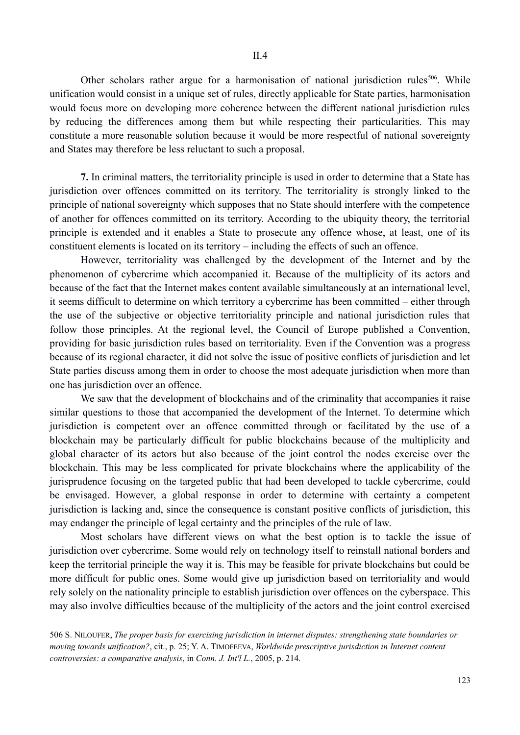Other scholars rather argue for a harmonisation of national jurisdiction rules<sup>506</sup>. While unification would consist in a unique set of rules, directly applicable for State parties, harmonisation would focus more on developing more coherence between the different national jurisdiction rules by reducing the differences among them but while respecting their particularities. This may constitute a more reasonable solution because it would be more respectful of national sovereignty and States may therefore be less reluctant to such a proposal.

**7.** In criminal matters, the territoriality principle is used in order to determine that a State has jurisdiction over offences committed on its territory. The territoriality is strongly linked to the principle of national sovereignty which supposes that no State should interfere with the competence of another for offences committed on its territory. According to the ubiquity theory, the territorial principle is extended and it enables a State to prosecute any offence whose, at least, one of its constituent elements is located on its territory – including the effects of such an offence.

However, territoriality was challenged by the development of the Internet and by the phenomenon of cybercrime which accompanied it. Because of the multiplicity of its actors and because of the fact that the Internet makes content available simultaneously at an international level, it seems difficult to determine on which territory a cybercrime has been committed – either through the use of the subjective or objective territoriality principle and national jurisdiction rules that follow those principles. At the regional level, the Council of Europe published a Convention, providing for basic jurisdiction rules based on territoriality. Even if the Convention was a progress because of its regional character, it did not solve the issue of positive conflicts of jurisdiction and let State parties discuss among them in order to choose the most adequate jurisdiction when more than one has jurisdiction over an offence.

We saw that the development of blockchains and of the criminality that accompanies it raise similar questions to those that accompanied the development of the Internet. To determine which jurisdiction is competent over an offence committed through or facilitated by the use of a blockchain may be particularly difficult for public blockchains because of the multiplicity and global character of its actors but also because of the joint control the nodes exercise over the blockchain. This may be less complicated for private blockchains where the applicability of the jurisprudence focusing on the targeted public that had been developed to tackle cybercrime, could be envisaged. However, a global response in order to determine with certainty a competent jurisdiction is lacking and, since the consequence is constant positive conflicts of jurisdiction, this may endanger the principle of legal certainty and the principles of the rule of law.

Most scholars have different views on what the best option is to tackle the issue of jurisdiction over cybercrime. Some would rely on technology itself to reinstall national borders and keep the territorial principle the way it is. This may be feasible for private blockchains but could be more difficult for public ones. Some would give up jurisdiction based on territoriality and would rely solely on the nationality principle to establish jurisdiction over offences on the cyberspace. This may also involve difficulties because of the multiplicity of the actors and the joint control exercised

<sup>506</sup> S. NILOUFER, *The proper basis for exercising jurisdiction in internet disputes: strengthening state boundaries or moving towards unification?*, cit., p. 25; Y. A. TIMOFEEVA, *Worldwide prescriptive jurisdiction in Internet content controversies: a comparative analysis*, in *Conn. J. Int'l L.*, 2005, p. 214.